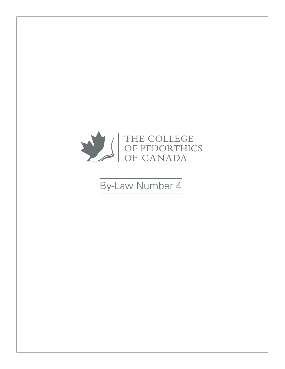

# By-Law Number 4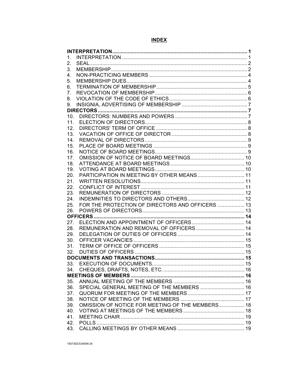## **INDEX**

| $\mathbf{1}$ . |                                                  |  |  |
|----------------|--------------------------------------------------|--|--|
| 2.             |                                                  |  |  |
| 3.             |                                                  |  |  |
| 4.             |                                                  |  |  |
| 5.             |                                                  |  |  |
| 6.             |                                                  |  |  |
| 7.             |                                                  |  |  |
| 8.             |                                                  |  |  |
| 9.             |                                                  |  |  |
|                |                                                  |  |  |
| 10.            |                                                  |  |  |
|                |                                                  |  |  |
| 11.            |                                                  |  |  |
| 12.            |                                                  |  |  |
| 13.            |                                                  |  |  |
| 14.            |                                                  |  |  |
| 15.            |                                                  |  |  |
| 16.            |                                                  |  |  |
| 17.            |                                                  |  |  |
| 18.            |                                                  |  |  |
| 19.            |                                                  |  |  |
| 20.            | PARTICIPATION IN MEETING BY OTHER MEANS 11       |  |  |
| 21.            |                                                  |  |  |
| 22.            |                                                  |  |  |
| 23.            |                                                  |  |  |
| 24.            |                                                  |  |  |
| 25.            | FOR THE PROTECTION OF DIRECTORS AND OFFICERS  13 |  |  |
| 26.            |                                                  |  |  |
|                |                                                  |  |  |
|                |                                                  |  |  |
| 27.            |                                                  |  |  |
| 28.            | REMUNERATION AND REMOVAL OF OFFICERS  14         |  |  |
| 29.            |                                                  |  |  |
| 30.            |                                                  |  |  |
| 31.            |                                                  |  |  |
| 32.            |                                                  |  |  |
|                | <b>DOCUMENTS AND TRANSACTIONS.</b>               |  |  |
|                |                                                  |  |  |
|                |                                                  |  |  |
|                |                                                  |  |  |
| 35.            |                                                  |  |  |
| 36.            | SPECIAL GENERAL MEETING OF THE MEMBERS  16       |  |  |
| 37.            |                                                  |  |  |
| 38.            |                                                  |  |  |
| 39.            | OMISSION OF NOTICE FOR MEETING OF THE MEMBERS 18 |  |  |
| 40.            |                                                  |  |  |
| 41.            |                                                  |  |  |
| 42.            |                                                  |  |  |
|                |                                                  |  |  |
|                |                                                  |  |  |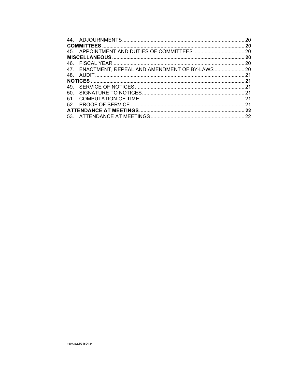|        |                                                    | 20  |
|--------|----------------------------------------------------|-----|
|        |                                                    | 20  |
|        |                                                    |     |
|        |                                                    | 20  |
|        |                                                    | 20  |
|        | 47. ENACTMENT, REPEAL AND AMENDMENT OF BY-LAWS  20 |     |
| 48.    |                                                    |     |
|        |                                                    | .21 |
| 49.    |                                                    |     |
| 50.    |                                                    |     |
| $51 -$ |                                                    |     |
|        |                                                    |     |
|        |                                                    |     |
|        |                                                    |     |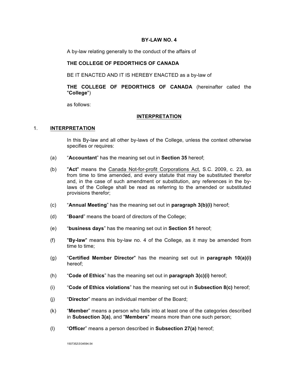#### **BY-LAW NO. 4**

A by-law relating generally to the conduct of the affairs of

## **THE COLLEGE OF PEDORTHICS OF CANADA**

BE IT ENACTED AND IT IS HEREBY ENACTED as a by-law of

## **THE COLLEGE OF PEDORTHICS OF CANADA** (hereinafter called the "**College**")

as follows:

#### **INTERPRETATION**

#### 1. **INTERPRETATION**

In this By-law and all other by-laws of the College, unless the context otherwise specifies or requires:

- (a) "**Accountant**" has the meaning set out in **Section 35** hereof;
- (b) "**Act**" means the Canada Not-for-profit Corporations Act, S.C. 2009, c. 23, as from time to time amended, and every statute that may be substituted therefor and, in the case of such amendment or substitution, any references in the bylaws of the College shall be read as referring to the amended or substituted provisions therefor;
- (c) "**Annual Meeting**" has the meaning set out in **paragraph 3(b)(i)** hereof;
- (d) "**Board**" means the board of directors of the College;
- (e) "**business days**" has the meaning set out in **Section 51** hereof;
- (f) "**By-law**" means this by-law no. 4 of the College, as it may be amended from time to time;
- (g) "**Certified Member Director**" has the meaning set out in **paragraph 10(a)(i)** hereof;
- (h) "**Code of Ethics**" has the meaning set out in **paragraph 3(c)(i)** hereof;
- (i) "**Code of Ethics violations**" has the meaning set out in **Subsection 8(c)** hereof;
- (j) "**Director**" means an individual member of the Board;
- (k) "**Member**" means a person who falls into at least one of the categories described in **Subsection 3(a)**, and "**Members**" means more than one such person;
- (l) "**Officer**" means a person described in **Subsection 27(a)** hereof;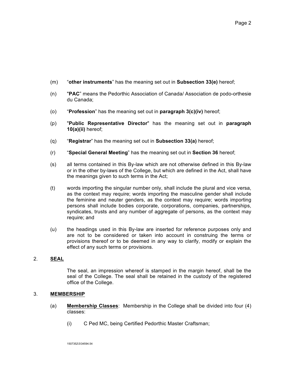- (m) "**other instruments**" has the meaning set out in **Subsection 33(e)** hereof;
- (n) "**PAC**" means the Pedorthic Association of Canada/ Association de podo-orthesie du Canada;
- (o) "**Profession**" has the meaning set out in **paragraph 3(c)(iv)** hereof;
- (p) "**Public Representative Director**" has the meaning set out in **paragraph 10(a)(ii)** hereof;
- (q) "**Registrar**" has the meaning set out in **Subsection 33(a)** hereof;
- (r) "**Special General Meeting**" has the meaning set out in **Section 36** hereof;
- (s) all terms contained in this By-law which are not otherwise defined in this By-law or in the other by-laws of the College, but which are defined in the Act, shall have the meanings given to such terms in the Act;
- (t) words importing the singular number only, shall include the plural and vice versa, as the context may require; words importing the masculine gender shall include the feminine and neuter genders, as the context may require; words importing persons shall include bodies corporate, corporations, companies, partnerships, syndicates, trusts and any number of aggregate of persons, as the context may require; and
- (u) the headings used in this By-law are inserted for reference purposes only and are not to be considered or taken into account in construing the terms or provisions thereof or to be deemed in any way to clarify, modify or explain the effect of any such terms or provisions.

## 2. **SEAL**

The seal, an impression whereof is stamped in the margin hereof, shall be the seal of the College. The seal shall be retained in the custody of the registered office of the College.

## 3. **MEMBERSHIP**

- (a) **Membership Classes**: Membership in the College shall be divided into four (4) classes:
	- (i) C Ped MC, being Certified Pedorthic Master Craftsman;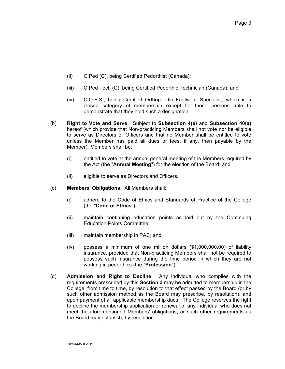- (ii) C Ped (C), being Certified Pedorthist (Canada);
- (iii) C Ped Tech (C), being Certified Pedorthic Technician (Canada); and
- (iv) C.O.F.S., being Certified Orthopaedic Footwear Specialist, which is a closed category of membership except for those persons able to demonstrate that they hold such a designation.
- (b) **Right to Vote and Serve**: Subject to **Subsection 4(e)** and **Subsection 40(a)** hereof (which provide that Non-practicing Members shall not vote nor be eligible to serve as Directors or Officers and that no Member shall be entitled to vote unless the Member has paid all dues or fees, if any, then payable by the Member), Members shall be:
	- (i) entitled to vote at the annual general meeting of the Members required by the Act (the "**Annual Meeting**") for the election of the Board; and
	- (ii) eligible to serve as Directors and Officers.
- (c) **Members' Obligations**: All Members shall:
	- (i) adhere to the Code of Ethics and Standards of Practice of the College (the "**Code of Ethics**");
	- (ii) maintain continuing education points as laid out by the Continuing Education Points Committee;
	- (iii) maintain membership in PAC; and
	- (iv) possess a minimum of one million dollars (\$1,000,000.00) of liability insurance, provided that Non-practicing Members shall not be required to possess such insurance during the time period in which they are not working in pedorthics (the "**Profession**").
- (d) **Admission and Right to Decline**: Any individual who complies with the requirements prescribed by this **Section 3** may be admitted to membership in the College, from time to time, by resolution to that effect passed by the Board (or by such other admission method as the Board may prescribe, by resolution), and upon payment of all applicable membership dues. The College reserves the right to decline the membership application or renewal of any individual who does not meet the aforementioned Members' obligations, or such other requirements as the Board may establish, by resolution.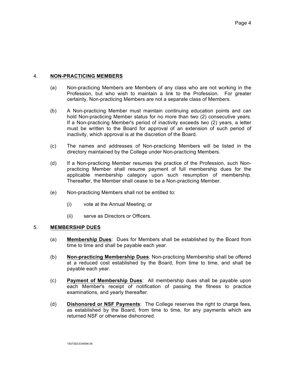## 4. **NON-PRACTICING MEMBERS**

- (a) Non-practicing Members are Members of any class who are not working in the Profession, but who wish to maintain a link to the Profession. For greater certainty, Non-practicing Members are not a separate class of Members.
- (b) A Non-practicing Member must maintain continuing education points and can hold Non-practicing Member status for no more than two (2) consecutive years. If a Non-practicing Member's period of inactivity exceeds two (2) years, a letter must be written to the Board for approval of an extension of such period of inactivity, which approval is at the discretion of the Board.
- (c) The names and addresses of Non-practicing Members will be listed in the directory maintained by the College under Non-practicing Members.
- (d) If a Non-practicing Member resumes the practice of the Profession, such Nonpracticing Member shall resume payment of full membership dues for the applicable membership category upon such resumption of membership. Thereafter, the Member shall cease to be a Non-practicing Member.
- (e) Non-practicing Members shall not be entitled to:
	- (i) vote at the Annual Meeting; or
	- (ii) serve as Directors or Officers.

## 5. **MEMBERSHIP DUES**

- (a) **Membership Dues**: Dues for Members shall be established by the Board from time to time and shall be payable each year.
- (b) **Non-practicing Membership Dues**: Non-practicing Membership shall be offered at a reduced cost established by the Board, from time to time, and shall be payable each year.
- (c) **Payment of Membership Dues**: All membership dues shall be payable upon each Member's receipt of notification of passing the fitness to practice examinations, and yearly thereafter.
- (d) **Dishonored or NSF Payments**: The College reserves the right to charge fees, as established by the Board, from time to time, for any payments which are returned NSF or otherwise dishonored.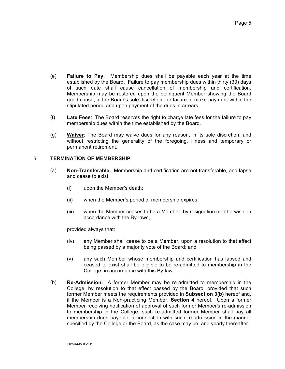- (e) **Failure to Pay**: Membership dues shall be payable each year at the time established by the Board. Failure to pay membership dues within thirty (30) days of such date shall cause cancellation of membership and certification. Membership may be restored upon the delinquent Member showing the Board good cause, in the Board's sole discretion, for failure to make payment within the stipulated period and upon payment of the dues in arrears.
- (f) **Late Fees**: The Board reserves the right to charge late fees for the failure to pay membership dues within the time established by the Board.
- (g) **Waiver**: The Board may waive dues for any reason, in its sole discretion, and without restricting the generality of the foregoing, illness and temporary or permanent retirement.

## 6. **TERMINATION OF MEMBERSHIP**

- (a) **Non-Transferable.** Membership and certification are not transferable, and lapse and cease to exist:
	- (i) upon the Member's death;
	- (ii) when the Member's period of membership expires;
	- (iii) when the Member ceases to be a Member, by resignation or otherwise, in accordance with the By-laws,

provided always that:

- (iv) any Member shall cease to be a Member, upon a resolution to that effect being passed by a majority vote of the Board; and
- (v) any such Member whose membership and certification has lapsed and ceased to exist shall be eligible to be re-admitted to membership in the College, in accordance with this By-law.
- (b) **Re-Admission.** A former Member may be re-admitted to membership in the College, by resolution to that effect passed by the Board, provided that such former Member meets the requirements provided in **Subsection 3(b)** hereof and, if the Member is a Non-practicing Member, **Section 4** hereof. Upon a former Member receiving notification of approval of such former Member's re-admission to membership in the College, such re-admitted former Member shall pay all membership dues payable in connection with such re-admission in the manner specified by the College or the Board, as the case may be, and yearly thereafter.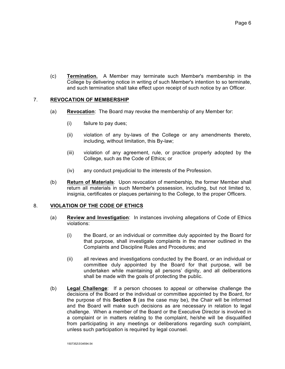(c) **Termination.** A Member may terminate such Member's membership in the College by delivering notice in writing of such Member's intention to so terminate, and such termination shall take effect upon receipt of such notice by an Officer.

## 7. **REVOCATION OF MEMBERSHIP**

- (a) **Revocation**: The Board may revoke the membership of any Member for:
	- (i) failure to pay dues;
	- (ii) violation of any by-laws of the College or any amendments thereto, including, without limitation, this By-law;
	- (iii) violation of any agreement, rule, or practice properly adopted by the College, such as the Code of Ethics; or
	- (iv) any conduct prejudicial to the interests of the Profession.
- (b) **Return of Materials**: Upon revocation of membership, the former Member shall return all materials in such Member's possession, including, but not limited to, insignia, certificates or plaques pertaining to the College, to the proper Officers.

## 8. **VIOLATION OF THE CODE OF ETHICS**

- (a) **Review and Investigation**: In instances involving allegations of Code of Ethics violations:
	- (i) the Board, or an individual or committee duly appointed by the Board for that purpose, shall investigate complaints in the manner outlined in the Complaints and Discipline Rules and Procedures; and
	- (ii) all reviews and investigations conducted by the Board, or an individual or committee duly appointed by the Board for that purpose, will be undertaken while maintaining all persons' dignity, and all deliberations shall be made with the goals of protecting the public.
- (b) **Legal Challenge**: If a person chooses to appeal or otherwise challenge the decisions of the Board or the individual or committee appointed by the Board, for the purpose of this **Section 8** (as the case may be), the Chair will be informed and the Board will make such decisions as are necessary in relation to legal challenge. When a member of the Board or the Executive Director is involved in a complaint or in matters relating to the complaint, he/she will be disqualified from participating in any meetings or deliberations regarding such complaint, unless such participation is required by legal counsel.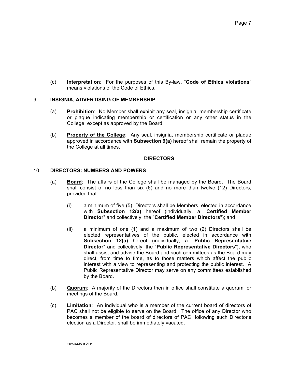(c) **Interpretation**: For the purposes of this By-law, "**Code of Ethics violations**" means violations of the Code of Ethics.

## 9. **INSIGNIA, ADVERTISING OF MEMBERSHIP**

- (a) **Prohibition**: No Member shall exhibit any seal, insignia, membership certificate or plaque indicating membership or certification or any other status in the College, except as approved by the Board.
- (b) **Property of the College**: Any seal, insignia, membership certificate or plaque approved in accordance with **Subsection 9(a)** hereof shall remain the property of the College at all times.

## **DIRECTORS**

## 10. **DIRECTORS: NUMBERS AND POWERS**

- (a) **Board**: The affairs of the College shall be managed by the Board. The Board shall consist of no less than six (6) and no more than twelve (12) Directors, provided that:
	- (i) a minimum of five (5) Directors shall be Members, elected in accordance with **Subsection 12(a)** hereof (individually, a "**Certified Member Director**" and collectively, the "**Certified Member Directors**"); and
	- (ii) a minimum of one (1) and a maximum of two (2) Directors shall be elected representatives of the public, elected in accordance with **Subsection 12(a)** hereof (individually, a "**Public Representative Director**" and collectively, the "**Public Representative Directors**"), who shall assist and advise the Board and such committees as the Board may direct, from time to time, as to those matters which affect the public interest with a view to representing and protecting the public interest. A Public Representative Director may serve on any committees established by the Board.
- (b) **Quorum**: A majority of the Directors then in office shall constitute a quorum for meetings of the Board.
- (c) **Limitation**: An individual who is a member of the current board of directors of PAC shall not be eligible to serve on the Board. The office of any Director who becomes a member of the board of directors of PAC, following such Director's election as a Director, shall be immediately vacated.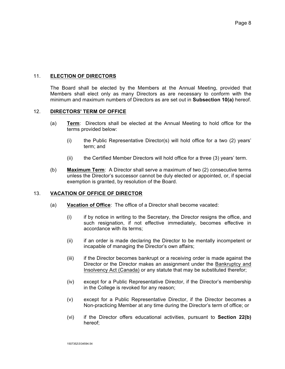## 11. **ELECTION OF DIRECTORS**

The Board shall be elected by the Members at the Annual Meeting, provided that Members shall elect only as many Directors as are necessary to conform with the minimum and maximum numbers of Directors as are set out in **Subsection 10(a)** hereof.

## 12. **DIRECTORS' TERM OF OFFICE**

- (a) **Term**: Directors shall be elected at the Annual Meeting to hold office for the terms provided below:
	- (i) the Public Representative Director(s) will hold office for a two (2) years' term; and
	- (ii) the Certified Member Directors will hold office for a three (3) years' term.
- (b) **Maximum Term**: A Director shall serve a maximum of two (2) consecutive terms unless the Director's successor cannot be duly elected or appointed, or, if special exemption is granted, by resolution of the Board.

## 13. **VACATION OF OFFICE OF DIRECTOR**

- (a) **Vacation of Office**: The office of a Director shall become vacated:
	- (i) if by notice in writing to the Secretary, the Director resigns the office, and such resignation, if not effective immediately, becomes effective in accordance with its terms;
	- (ii) if an order is made declaring the Director to be mentally incompetent or incapable of managing the Director's own affairs;
	- (iii) if the Director becomes bankrupt or a receiving order is made against the Director or the Director makes an assignment under the Bankruptcy and Insolvency Act (Canada) or any statute that may be substituted therefor;
	- (iv) except for a Public Representative Director, if the Director's membership in the College is revoked for any reason;
	- (v) except for a Public Representative Director, if the Director becomes a Non-practicing Member at any time during the Director's term of office; or
	- (vi) if the Director offers educational activities, pursuant to **Section 22(b)** hereof;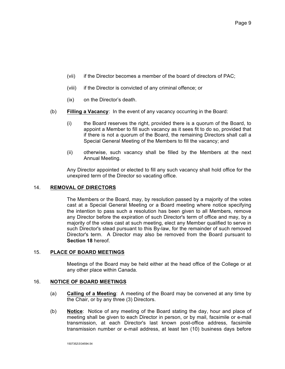- (vii) if the Director becomes a member of the board of directors of PAC;
- (viii) if the Director is convicted of any criminal offence; or
- (ix) on the Director's death.
- (b) **Filling a Vacancy**: In the event of any vacancy occurring in the Board:
	- (i) the Board reserves the right, provided there is a quorum of the Board, to appoint a Member to fill such vacancy as it sees fit to do so, provided that if there is not a quorum of the Board, the remaining Directors shall call a Special General Meeting of the Members to fill the vacancy; and
	- (ii) otherwise, such vacancy shall be filled by the Members at the next Annual Meeting.

Any Director appointed or elected to fill any such vacancy shall hold office for the unexpired term of the Director so vacating office.

## 14. **REMOVAL OF DIRECTORS**

The Members or the Board, may, by resolution passed by a majority of the votes cast at a Special General Meeting or a Board meeting where notice specifying the intention to pass such a resolution has been given to all Members, remove any Director before the expiration of such Director's term of office and may, by a majority of the votes cast at such meeting, elect any Member qualified to serve in such Director's stead pursuant to this By-law, for the remainder of such removed Director's term. A Director may also be removed from the Board pursuant to **Section 18** hereof.

## 15. **PLACE OF BOARD MEETINGS**

Meetings of the Board may be held either at the head office of the College or at any other place within Canada.

## 16. **NOTICE OF BOARD MEETINGS**

- (a) **Calling of a Meeting**: A meeting of the Board may be convened at any time by the Chair, or by any three (3) Directors.
- (b) **Notice**: Notice of any meeting of the Board stating the day, hour and place of meeting shall be given to each Director in person, or by mail, facsimile or e-mail transmission, at each Director's last known post-office address, facsimile transmission number or e-mail address, at least ten (10) business days before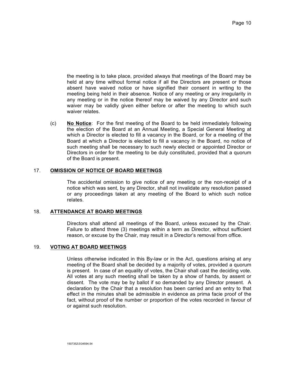the meeting is to take place, provided always that meetings of the Board may be held at any time without formal notice if all the Directors are present or those absent have waived notice or have signified their consent in writing to the meeting being held in their absence. Notice of any meeting or any irregularity in any meeting or in the notice thereof may be waived by any Director and such waiver may be validly given either before or after the meeting to which such waiver relates.

(c) **No Notice**: For the first meeting of the Board to be held immediately following the election of the Board at an Annual Meeting, a Special General Meeting at which a Director is elected to fill a vacancy in the Board, or for a meeting of the Board at which a Director is elected to fill a vacancy in the Board, no notice of such meeting shall be necessary to such newly elected or appointed Director or Directors in order for the meeting to be duly constituted, provided that a quorum of the Board is present.

## 17. **OMISSION OF NOTICE OF BOARD MEETINGS**

The accidental omission to give notice of any meeting or the non-receipt of a notice which was sent, by any Director, shall not invalidate any resolution passed or any proceedings taken at any meeting of the Board to which such notice relates.

## 18. **ATTENDANCE AT BOARD MEETINGS**

Directors shall attend all meetings of the Board, unless excused by the Chair. Failure to attend three (3) meetings within a term as Director, without sufficient reason, or excuse by the Chair, may result in a Director's removal from office.

## 19. **VOTING AT BOARD MEETINGS**

Unless otherwise indicated in this By-law or in the Act, questions arising at any meeting of the Board shall be decided by a majority of votes, provided a quorum is present. In case of an equality of votes, the Chair shall cast the deciding vote. All votes at any such meeting shall be taken by a show of hands, by assent or dissent. The vote may be by ballot if so demanded by any Director present. A declaration by the Chair that a resolution has been carried and an entry to that effect in the minutes shall be admissible in evidence as prima facie proof of the fact, without proof of the number or proportion of the votes recorded in favour of or against such resolution.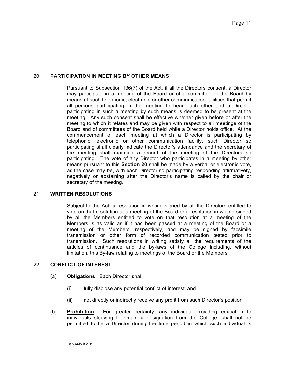## 20. **PARTICIPATION IN MEETING BY OTHER MEANS**

Pursuant to Subsection 136(7) of the Act, if all the Directors consent, a Director may participate in a meeting of the Board or of a committee of the Board by means of such telephonic, electronic or other communication facilities that permit all persons participating in the meeting to hear each other and a Director participating in such a meeting by such means is deemed to be present at the meeting. Any such consent shall be effective whether given before or after the meeting to which it relates and may be given with respect to all meetings of the Board and of committees of the Board held while a Director holds office. At the commencement of each meeting at which a Director is participating by telephonic, electronic or other communication facility, such Director so participating shall clearly indicate the Director's attendance and the secretary of the meeting shall maintain a record of the meeting of the Directors so participating. The vote of any Director who participates in a meeting by other means pursuant to this **Section 20** shall be made by a verbal or electronic vote, as the case may be, with each Director so participating responding affirmatively, negatively or abstaining after the Director's name is called by the chair or secretary of the meeting.

## 21. **WRITTEN RESOLUTIONS**

Subject to the Act, a resolution in writing signed by all the Directors entitled to vote on that resolution at a meeting of the Board or a resolution in writing signed by all the Members entitled to vote on that resolution at a meeting of the Members is as valid as if it had been passed at a meeting of the Board or a meeting of the Members, respectively, and may be signed by facsimile transmission or other form of recorded communication tested prior to transmission. Such resolutions in writing satisfy all the requirements of the articles of continuance and the by-laws of the College including, without limitation, this By-law relating to meetings of the Board or the Members.

## 22. **CONFLICT OF INTEREST**

- (a) **Obligations**: Each Director shall:
	- (i) fully disclose any potential conflict of interest; and
	- (ii) not directly or indirectly receive any profit from such Director's position.
- (b) **Prohibition**: For greater certainty, any individual providing education to individuals studying to obtain a designation from the College, shall not be permitted to be a Director during the time period in which such individual is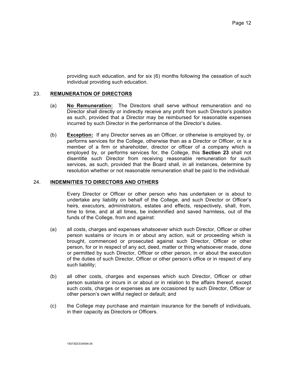providing such education, and for six (6) months following the cessation of such individual providing such education.

## 23. **REMUNERATION OF DIRECTORS**

- (a) **No Remuneration:** The Directors shall serve without remuneration and no Director shall directly or indirectly receive any profit from such Director's position as such, provided that a Director may be reimbursed for reasonable expenses incurred by such Director in the performance of the Director's duties.
- (b) **Exception:** If any Director serves as an Officer, or otherwise is employed by, or performs services for the College, otherwise than as a Director or Officer, or is a member of a firm or shareholder, director or officer of a company which is employed by, or performs services for, the College, this **Section 23** shall not disentitle such Director from receiving reasonable remuneration for such services, as such, provided that the Board shall, in all instances, determine by resolution whether or not reasonable remuneration shall be paid to the individual.

## 24. **INDEMNITIES TO DIRECTORS AND OTHERS**

Every Director or Officer or other person who has undertaken or is about to undertake any liability on behalf of the College, and such Director or Officer's heirs, executors, administrators, estates and effects, respectively, shall, from, time to time, and at all times, be indemnified and saved harmless, out of the funds of the College, from and against:

- (a) all costs, charges and expenses whatsoever which such Director, Officer or other person sustains or incurs in or about any action, suit or proceeding which is brought, commenced or prosecuted against such Director, Officer or other person, for or in respect of any act, deed, matter or thing whatsoever made, done or permitted by such Director, Officer or other person, in or about the execution of the duties of such Director, Officer or other person's office or in respect of any such liability;
- (b) all other costs, charges and expenses which such Director, Officer or other person sustains or incurs in or about or in relation to the affairs thereof, except such costs, charges or expenses as are occasioned by such Director, Officer or other person's own willful neglect or default; and
- (c) the College may purchase and maintain insurance for the benefit of individuals, in their capacity as Directors or Officers.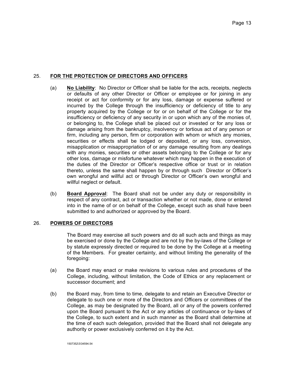## 25. **FOR THE PROTECTION OF DIRECTORS AND OFFICERS**

- (a) **No Liability**: No Director or Officer shall be liable for the acts, receipts, neglects or defaults of any other Director or Officer or employee or for joining in any receipt or act for conformity or for any loss, damage or expense suffered or incurred by the College through the insufficiency or deficiency of title to any property acquired by the College or for or on behalf of the College or for the insufficiency or deficiency of any security in or upon which any of the monies of, or belonging to, the College shall be placed out or invested or for any loss or damage arising from the bankruptcy, insolvency or tortious act of any person or firm, including any person, firm or corporation with whom or which any monies, securities or effects shall be lodged or deposited, or any loss, conversion, misapplication or misappropriation of or any damage resulting from any dealings with any monies, securities or other assets belonging to the College or for any other loss, damage or misfortune whatever which may happen in the execution of the duties of the Director or Officer's respective office or trust or in relation thereto, unless the same shall happen by or through such Director or Officer's own wrongful and willful act or through Director or Officer's own wrongful and willful neglect or default.
- (b) **Board Approval**: The Board shall not be under any duty or responsibility in respect of any contract, act or transaction whether or not made, done or entered into in the name of or on behalf of the College, except such as shall have been submitted to and authorized or approved by the Board.

## 26. **POWERS OF DIRECTORS**

The Board may exercise all such powers and do all such acts and things as may be exercised or done by the College and are not by the by-laws of the College or by statute expressly directed or required to be done by the College at a meeting of the Members. For greater certainty, and without limiting the generality of the foregoing:

- (a) the Board may enact or make revisions to various rules and procedures of the College, including, without limitation, the Code of Ethics or any replacement or successor document; and
- (b) the Board may, from time to time, delegate to and retain an Executive Director or delegate to such one or more of the Directors and Officers or committees of the College, as may be designated by the Board, all or any of the powers conferred upon the Board pursuant to the Act or any articles of continuance or by-laws of the College, to such extent and in such manner as the Board shall determine at the time of each such delegation, provided that the Board shall not delegate any authority or power exclusively conferred on it by the Act.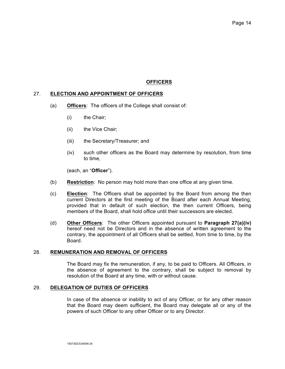## **OFFICERS**

## 27. **ELECTION AND APPOINTMENT OF OFFICERS**

- (a) **Officers**: The officers of the College shall consist of:
	- (i) the Chair;
	- (ii) the Vice Chair;
	- (iii) the Secretary/Treasurer; and
	- (iv) such other officers as the Board may determine by resolution, from time to time,

(each, an "**Officer**").

- (b) **Restriction**: No person may hold more than one office at any given time.
- (c) **Election**: The Officers shall be appointed by the Board from among the then current Directors at the first meeting of the Board after each Annual Meeting, provided that in default of such election, the then current Officers, being members of the Board, shall hold office until their successors are elected.
- (d) **Other Officers**: The other Officers appointed pursuant to **Paragraph 27(a)(iv)** hereof need not be Directors and in the absence of written agreement to the contrary, the appointment of all Officers shall be settled, from time to time, by the Board.

## 28. **REMUNERATION AND REMOVAL OF OFFICERS**

The Board may fix the remuneration, if any, to be paid to Officers. All Officers, in the absence of agreement to the contrary, shall be subject to removal by resolution of the Board at any time, with or without cause.

## 29. **DELEGATION OF DUTIES OF OFFICERS**

In case of the absence or inability to act of any Officer, or for any other reason that the Board may deem sufficient, the Board may delegate all or any of the powers of such Officer to any other Officer or to any Director.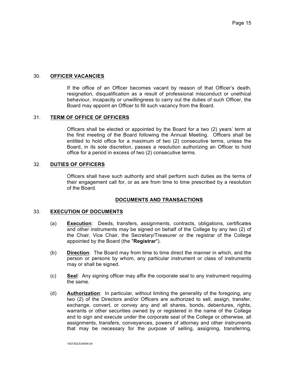## 30. **OFFICER VACANCIES**

If the office of an Officer becomes vacant by reason of that Officer's death, resignation, disqualification as a result of professional misconduct or unethical behaviour, incapacity or unwillingness to carry out the duties of such Officer, the Board may appoint an Officer to fill such vacancy from the Board.

## 31. **TERM OF OFFICE OF OFFICERS**

Officers shall be elected or appointed by the Board for a two (2) years' term at the first meeting of the Board following the Annual Meeting. Officers shall be entitled to hold office for a maximum of two (2) consecutive terms, unless the Board, in its sole discretion, passes a resolution authorizing an Officer to hold office for a period in excess of two (2) consecutive terms.

## 32. **DUTIES OF OFFICERS**

Officers shall have such authority and shall perform such duties as the terms of their engagement call for, or as are from time to time prescribed by a resolution of the Board.

## **DOCUMENTS AND TRANSACTIONS**

## 33. **EXECUTION OF DOCUMENTS**

- (a) **Execution**: Deeds, transfers, assignments, contracts, obligations, certificates and other instruments may be signed on behalf of the College by any two (2) of the Chair, Vice Chair, the Secretary/Treasurer or the registrar of the College appointed by the Board (the "**Registrar**").
- (b) **Direction**: The Board may from time to time direct the manner in which, and the person or persons by whom, any particular instrument or class of instruments may or shall be signed.
- (c) **Seal**: Any signing officer may affix the corporate seal to any instrument requiring the same.
- (d) **Authorization**: In particular, without limiting the generality of the foregoing, any two (2) of the Directors and/or Officers are authorized to sell, assign, transfer, exchange, convert, or convey any and all shares, bonds, debentures, rights, warrants or other securities owned by or registered in the name of the College and to sign and execute under the corporate seal of the College or otherwise, all assignments, transfers, conveyances, powers of attorney and other instruments that may be necessary for the purpose of selling, assigning, transferring,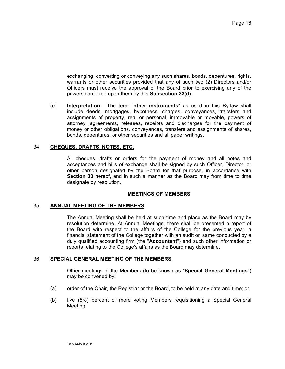exchanging, converting or conveying any such shares, bonds, debentures, rights, warrants or other securities provided that any of such two (2) Directors and/or Officers must receive the approval of the Board prior to exercising any of the powers conferred upon them by this **Subsection 33(d)**.

(e) **Interpretation**: The term "**other instruments**" as used in this By-law shall include deeds, mortgages, hypothecs, charges, conveyances, transfers and assignments of property, real or personal, immovable or movable, powers of attorney, agreements, releases, receipts and discharges for the payment of money or other obligations, conveyances, transfers and assignments of shares, bonds, debentures, or other securities and all paper writings.

## 34. **CHEQUES, DRAFTS, NOTES, ETC.**

All cheques, drafts or orders for the payment of money and all notes and acceptances and bills of exchange shall be signed by such Officer, Director, or other person designated by the Board for that purpose, in accordance with **Section 33** hereof, and in such a manner as the Board may from time to time designate by resolution.

## **MEETINGS OF MEMBERS**

## 35. **ANNUAL MEETING OF THE MEMBERS**

The Annual Meeting shall be held at such time and place as the Board may by resolution determine. At Annual Meetings, there shall be presented a report of the Board with respect to the affairs of the College for the previous year, a financial statement of the College together with an audit on same conducted by a duly qualified accounting firm (the "**Accountant**") and such other information or reports relating to the College's affairs as the Board may determine.

## 36. **SPECIAL GENERAL MEETING OF THE MEMBERS**

Other meetings of the Members (to be known as "**Special General Meetings**") may be convened by:

- (a) order of the Chair, the Registrar or the Board, to be held at any date and time; or
- (b) five (5%) percent or more voting Members requisitioning a Special General Meeting.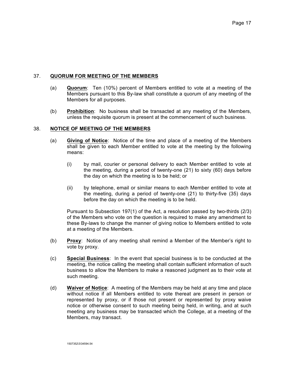## 37. **QUORUM FOR MEETING OF THE MEMBERS**

- (a) **Quorum**: Ten (10%) percent of Members entitled to vote at a meeting of the Members pursuant to this By-law shall constitute a quorum of any meeting of the Members for all purposes.
- (b) **Prohibition**: No business shall be transacted at any meeting of the Members, unless the requisite quorum is present at the commencement of such business.

## 38. **NOTICE OF MEETING OF THE MEMBERS**

- (a) **Giving of Notice**: Notice of the time and place of a meeting of the Members shall be given to each Member entitled to vote at the meeting by the following means:
	- (i) by mail, courier or personal delivery to each Member entitled to vote at the meeting, during a period of twenty-one (21) to sixty (60) days before the day on which the meeting is to be held; or
	- (ii) by telephone, email or similar means to each Member entitled to vote at the meeting, during a period of twenty-one (21) to thirty-five (35) days before the day on which the meeting is to be held.

Pursuant to Subsection 197(1) of the Act, a resolution passed by two-thirds (2/3) of the Members who vote on the question is required to make any amendment to these By-laws to change the manner of giving notice to Members entitled to vote at a meeting of the Members.

- (b) **Proxy**: Notice of any meeting shall remind a Member of the Member's right to vote by proxy.
- (c) **Special Business**: In the event that special business is to be conducted at the meeting, the notice calling the meeting shall contain sufficient information of such business to allow the Members to make a reasoned judgment as to their vote at such meeting.
- (d) **Waiver of Notice**: A meeting of the Members may be held at any time and place without notice if all Members entitled to vote thereat are present in person or represented by proxy, or if those not present or represented by proxy waive notice or otherwise consent to such meeting being held, in writing, and at such meeting any business may be transacted which the College, at a meeting of the Members, may transact.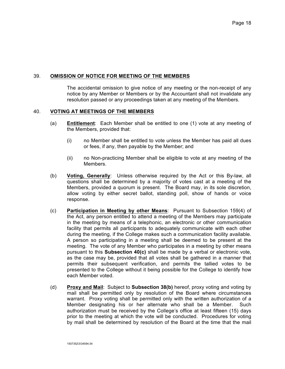## 39. **OMISSION OF NOTICE FOR MEETING OF THE MEMBERS**

The accidental omission to give notice of any meeting or the non-receipt of any notice by any Member or Members or by the Accountant shall not invalidate any resolution passed or any proceedings taken at any meeting of the Members.

## 40. **VOTING AT MEETINGS OF THE MEMBERS**

- (a) **Entitlement**: Each Member shall be entitled to one (1) vote at any meeting of the Members, provided that:
	- (i) no Member shall be entitled to vote unless the Member has paid all dues or fees, if any, then payable by the Member; and
	- (ii) no Non-practicing Member shall be eligible to vote at any meeting of the Members.
- (b) **Voting, Generally**: Unless otherwise required by the Act or this By-law, all questions shall be determined by a majority of votes cast at a meeting of the Members, provided a quorum is present. The Board may, in its sole discretion, allow voting by either secret ballot, standing poll, show of hands or voice response.
- (c) **Participation in Meeting by other Means**: Pursuant to Subsection 159(4) of the Act, any person entitled to attend a meeting of the Members may participate in the meeting by means of a telephonic, an electronic or other communication facility that permits all participants to adequately communicate with each other during the meeting, if the College makes such a communication facility available. A person so participating in a meeting shall be deemed to be present at the meeting. The vote of any Member who participates in a meeting by other means pursuant to this **Subsection 40(c)** shall be made by a verbal or electronic vote, as the case may be, provided that all votes shall be gathered in a manner that permits their subsequent verification, and permits the tallied votes to be presented to the College without it being possible for the College to identify how each Member voted.
- (d) **Proxy and Mail**: Subject to **Subsection 38(b)** hereof, proxy voting and voting by mail shall be permitted only by resolution of the Board where circumstances warrant.Proxy voting shall be permitted only with the written authorization of a Member designating his or her alternate who shall be a Member. Such authorization must be received by the College's office at least fifteen (15) days prior to the meeting at which the vote will be conducted. Procedures for voting by mail shall be determined by resolution of the Board at the time that the mail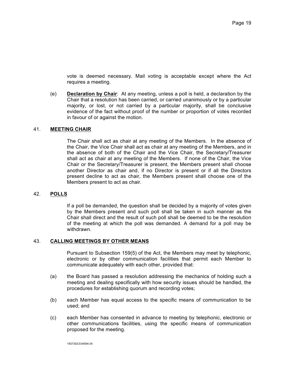vote is deemed necessary. Mail voting is acceptable except where the Act requires a meeting.

(e) **Declaration by Chair**: At any meeting, unless a poll is held, a declaration by the Chair that a resolution has been carried, or carried unanimously or by a particular majority, or lost, or not carried by a particular majority, shall be conclusive evidence of the fact without proof of the number or proportion of votes recorded in favour of or against the motion.

## 41. **MEETING CHAIR**

The Chair shall act as chair at any meeting of the Members. In the absence of the Chair, the Vice Chair shall act as chair at any meeting of the Members, and in the absence of both of the Chair and the Vice Chair, the Secretary/Treasurer shall act as chair at any meeting of the Members. If none of the Chair, the Vice Chair or the Secretary/Treasurer is present, the Members present shall choose another Director as chair and, if no Director is present or if all the Directors present decline to act as chair, the Members present shall choose one of the Members present to act as chair.

## 42. **POLLS**

If a poll be demanded, the question shall be decided by a majority of votes given by the Members present and such poll shall be taken in such manner as the Chair shall direct and the result of such poll shall be deemed to be the resolution of the meeting at which the poll was demanded. A demand for a poll may be withdrawn.

## 43. **CALLING MEETINGS BY OTHER MEANS**

Pursuant to Subsection 159(5) of the Act, the Members may meet by telephonic, electronic or by other communication facilities that permit each Member to communicate adequately with each other, provided that:

- (a) the Board has passed a resolution addressing the mechanics of holding such a meeting and dealing specifically with how security issues should be handled, the procedures for establishing quorum and recording votes;
- (b) each Member has equal access to the specific means of communication to be used; and
- (c) each Member has consented in advance to meeting by telephonic, electronic or other communications facilities, using the specific means of communication proposed for the meeting.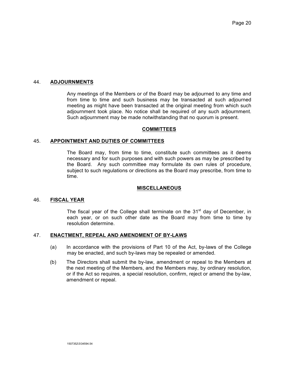## 44. **ADJOURNMENTS**

Any meetings of the Members or of the Board may be adjourned to any time and from time to time and such business may be transacted at such adjourned meeting as might have been transacted at the original meeting from which such adjournment took place. No notice shall be required of any such adjournment. Such adjournment may be made notwithstanding that no quorum is present.

#### **COMMITTEES**

## 45. **APPOINTMENT AND DUTIES OF COMMITTEES**

The Board may, from time to time, constitute such committees as it deems necessary and for such purposes and with such powers as may be prescribed by the Board. Any such committee may formulate its own rules of procedure, subject to such regulations or directions as the Board may prescribe, from time to time.

## **MISCELLANEOUS**

## 46. **FISCAL YEAR**

The fiscal year of the College shall terminate on the  $31<sup>st</sup>$  day of December, in each year, or on such other date as the Board may from time to time by resolution determine.

#### 47. **ENACTMENT, REPEAL AND AMENDMENT OF BY-LAWS**

- (a) In accordance with the provisions of Part 10 of the Act, by-laws of the College may be enacted, and such by-laws may be repealed or amended.
- (b) The Directors shall submit the by-law, amendment or repeal to the Members at the next meeting of the Members, and the Members may, by ordinary resolution, or if the Act so requires, a special resolution, confirm, reject or amend the by-law, amendment or repeal.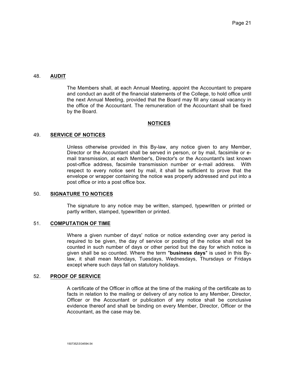## 48. **AUDIT**

The Members shall, at each Annual Meeting, appoint the Accountant to prepare and conduct an audit of the financial statements of the College, to hold office until the next Annual Meeting, provided that the Board may fill any casual vacancy in the office of the Accountant. The remuneration of the Accountant shall be fixed by the Board.

#### **NOTICES**

## 49. **SERVICE OF NOTICES**

Unless otherwise provided in this By-law, any notice given to any Member, Director or the Accountant shall be served in person, or by mail, facsimile or email transmission, at each Member's, Director's or the Accountant's last known post-office address, facsimile transmission number or e-mail address. With respect to every notice sent by mail, it shall be sufficient to prove that the envelope or wrapper containing the notice was properly addressed and put into a post office or into a post office box.

#### 50. **SIGNATURE TO NOTICES**

The signature to any notice may be written, stamped, typewritten or printed or partly written, stamped, typewritten or printed.

#### 51. **COMPUTATION OF TIME**

Where a given number of days' notice or notice extending over any period is required to be given, the day of service or posting of the notice shall not be counted in such number of days or other period but the day for which notice is given shall be so counted. Where the term "**business days**" is used in this Bylaw, it shall mean Mondays, Tuesdays, Wednesdays, Thursdays or Fridays except where such days fall on statutory holidays.

## 52. **PROOF OF SERVICE**

A certificate of the Officer in office at the time of the making of the certificate as to facts in relation to the mailing or delivery of any notice to any Member, Director, Officer or the Accountant or publication of any notice shall be conclusive evidence thereof and shall be binding on every Member, Director, Officer or the Accountant, as the case may be.